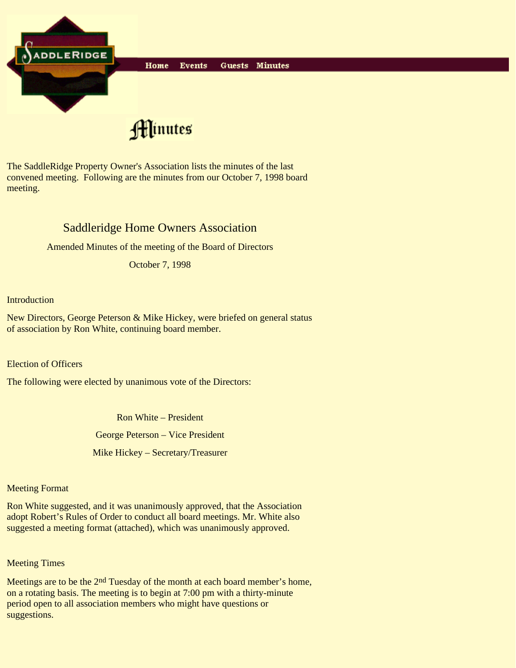

The SaddleRidge Property Owner's Association lists the minutes of the last convened meeting. Following are the minutes from our October 7, 1998 board meeting.

# Saddleridge Home Owners Association

Amended Minutes of the meeting of the Board of Directors

October 7, 1998

### **Introduction**

New Directors, George Peterson & Mike Hickey, were briefed on general status of association by Ron White, continuing board member.

Election of Officers

The following were elected by unanimous vote of the Directors:

Ron White – President

George Peterson – Vice President

Mike Hickey – Secretary/Treasurer

#### Meeting Format

Ron White suggested, and it was unanimously approved, that the Association adopt Robert's Rules of Order to conduct all board meetings. Mr. White also suggested a meeting format (attached), which was unanimously approved.

## Meeting Times

Meetings are to be the 2<sup>nd</sup> Tuesday of the month at each board member's home, on a rotating basis. The meeting is to begin at 7:00 pm with a thirty-minute period open to all association members who might have questions or suggestions.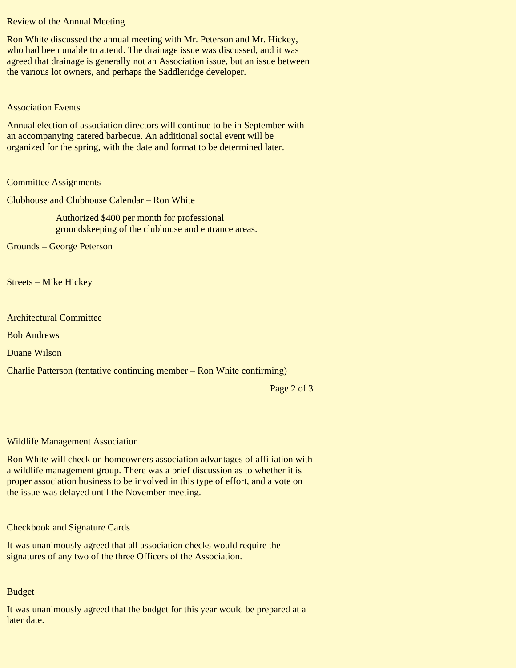Review of the Annual Meeting

Ron White discussed the annual meeting with Mr. Peterson and Mr. Hickey, who had been unable to attend. The drainage issue was discussed, and it was agreed that drainage is generally not an Association issue, but an issue between the various lot owners, and perhaps the Saddleridge developer.

#### Association Events

Annual election of association directors will continue to be in September with an accompanying catered barbecue. An additional social event will be organized for the spring, with the date and format to be determined later.

#### Committee Assignments

Clubhouse and Clubhouse Calendar – Ron White

Authorized \$400 per month for professional groundskeeping of the clubhouse and entrance areas.

Grounds – George Peterson

Streets – Mike Hickey

Architectural Committee

Bob Andrews

Duane Wilson

Charlie Patterson (tentative continuing member – Ron White confirming)

Page 2 of 3

#### Wildlife Management Association

Ron White will check on homeowners association advantages of affiliation with a wildlife management group. There was a brief discussion as to whether it is proper association business to be involved in this type of effort, and a vote on the issue was delayed until the November meeting.

Checkbook and Signature Cards

It was unanimously agreed that all association checks would require the signatures of any two of the three Officers of the Association.

#### Budget

It was unanimously agreed that the budget for this year would be prepared at a later date.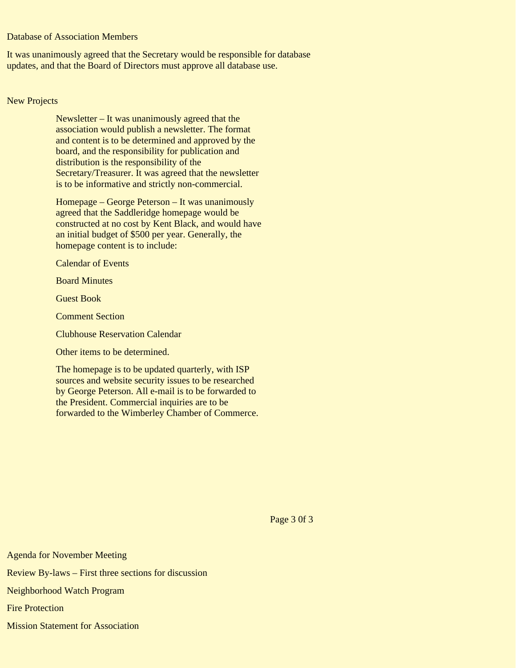## Database of Association Members

It was unanimously agreed that the Secretary would be responsible for database updates, and that the Board of Directors must approve all database use.

#### New Projects

Newsletter – It was unanimously agreed that the association would publish a newsletter. The format and content is to be determined and approved by the board, and the responsibility for publication and distribution is the responsibility of the Secretary/Treasurer. It was agreed that the newsletter is to be informative and strictly non-commercial.

Homepage – George Peterson – It was unanimously agreed that the Saddleridge homepage would be constructed at no cost by Kent Black, and would have an initial budget of \$500 per year. Generally, the homepage content is to include:

Calendar of Events

Board Minutes

Guest Book

Comment Section

Clubhouse Reservation Calendar

Other items to be determined.

The homepage is to be updated quarterly, with ISP sources and website security issues to be researched by George Peterson. All e-mail is to be forwarded to the President. Commercial inquiries are to be forwarded to the Wimberley Chamber of Commerce.

Page 3 0f 3

Agenda for November Meeting Review By-laws – First three sections for discussion Neighborhood Watch Program Fire Protection Mission Statement for Association